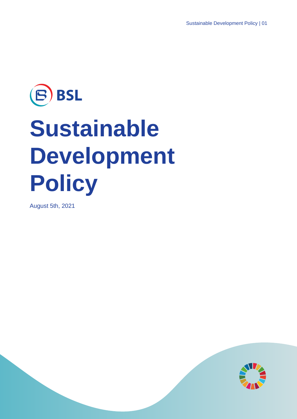# BSL  $\left( \mathsf{B}\right)$ **Sustainable Development Policy**

August 5th, 2021

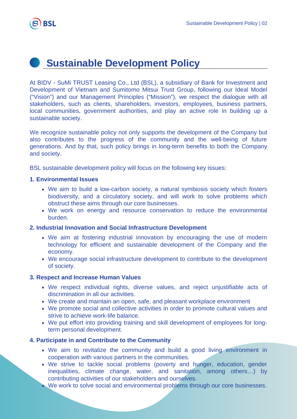

# **Sustainable Development Policy**

At BIDV - SuMi TRUST Leasing Co., Ltd (BSL), a subsidiary of Bank for Investment and Development of Vietnam and Sumitomo Mitsui Trust Group, following our Ideal Model ("Vision") and our Management Principles ("Mission"), we respect the dialogue with all stakeholders, such as clients, shareholders, investors, employees, business partners, local communities, government authorities, and play an active role in building up a sustainable society.

We recognize sustainable policy not only supports the development of the Company but also contributes to the progress of the community and the well-being of future generations. And by that, such policy brings in long-term benefits to both the Company and society.

BSL sustainable development policy will focus on the following key issues:

#### **1. Environmental Issues**

- We aim to build a low-carbon society, a natural symbiosis society which fosters biodiversity, and a circulatory society, and will work to solve problems which obstruct these aims through our core businesses.
- We work on energy and resource conservation to reduce the environmental burden.

#### **2. Industrial Innovation and Social Infrastructure Development**

- We aim at fostering industrial innovation by encouraging the use of modern technology for efficient and sustainable development of the Company and the economy.
- We encourage social infrastructure development to contribute to the development of society.

#### **3. Respect and Increase Human Values**

- We respect individual rights, diverse values, and reject unjustifiable acts of discrimination in all our activities.
- We create and maintain an open, safe, and pleasant workplace environment
- We promote social and collective activities in order to promote cultural values and strive to achieve work-life balance.
- We put effort into providing training and skill development of employees for longterm personal development.

## **4. Participate in and Contribute to the Community**

- We aim to revitalize the community and build a good living environment in cooperation with various partners in the communities.
- We strive to tackle social problems (poverty and hunger, education, gender inequalities, climate change, water, and sanitation, among others…) by contributing activities of our stakeholders and ourselves.
- We work to solve social and environmental problems through our core businesses.